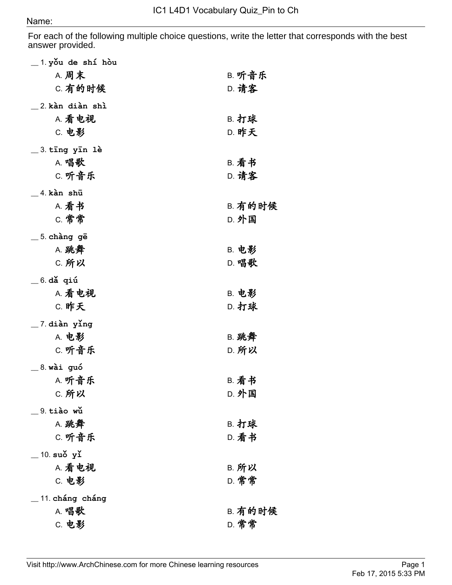For each of the following multiple choice questions, write the letter that corresponds with the best answer provided.

| _1.yǒu de shí hòu       |                |
|-------------------------|----------------|
| <b>A. 周末</b>            | B. 听音乐         |
| C. 有的时候                 | <b>D. 请客</b>   |
| _2.kàn diàn shì         |                |
| A. 看电视                  | <b>B. 打球</b>   |
| C. 电影                   | <b>D. 昨天</b>   |
|                         |                |
| _3.tīng yīn lè<br>A. 唱歌 | <b>B. 看书</b>   |
| C. 听音乐                  | <b>D. 请客</b>   |
|                         |                |
| 4 kàn shū               |                |
| A. 看书                   | <b>B. 有的时候</b> |
| C. 常常                   | D. 外国          |
| $=$ 5. chàng gē         |                |
| A. 跳舞                   | <b>B. 电影</b>   |
| C. 所以                   | <b>D. 唱歌</b>   |
| $=$ 6. dǎ qiú           |                |
| A. 看电视                  | <b>B. 电影</b>   |
| <b>C. 昨天</b>            | D. 打球          |
| $\_$ 7 diàn ying        |                |
| <b>A. 电影</b>            | <b>B. 跳舞</b>   |
| C. 听音乐                  | <b>D. 所以</b>   |
|                         |                |
| $=$ 8. wài guó          |                |
| A. 听音乐                  | <b>B. 看书</b>   |
| <b>C. 所以</b>            | <b>D. 外国</b>   |
| 9. tiào wǔ              |                |
| A. 跳舞                   | <b>B. 打球</b>   |
| C. 听音乐                  | D. 看书          |
| $\_$ 10. suǒ yǐ         |                |
| A. 看电视                  | B. 所以          |
| C. 电影                   | D. 常常          |
| 11. cháng cháng         |                |
| A. 唱歌                   | <b>B. 有的时候</b> |
| C. 电影                   | D. 常常          |
|                         |                |